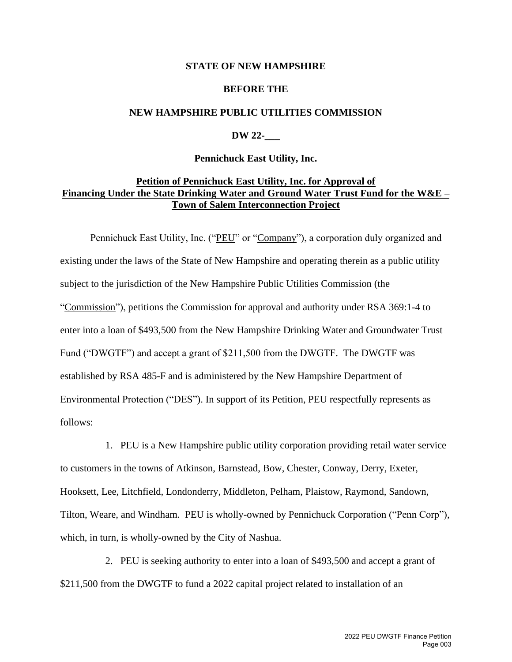### **STATE OF NEW HAMPSHIRE**

### **BEFORE THE**

### **NEW HAMPSHIRE PUBLIC UTILITIES COMMISSION**

## **DW 22-\_\_\_**

### **Pennichuck East Utility, Inc.**

# **Petition of Pennichuck East Utility, Inc. for Approval of Financing Under the State Drinking Water and Ground Water Trust Fund for the W&E – Town of Salem Interconnection Project**

Pennichuck East Utility, Inc. ("PEU" or "Company"), a corporation duly organized and existing under the laws of the State of New Hampshire and operating therein as a public utility subject to the jurisdiction of the New Hampshire Public Utilities Commission (the "Commission"), petitions the Commission for approval and authority under RSA 369:1-4 to enter into a loan of \$493,500 from the New Hampshire Drinking Water and Groundwater Trust Fund ("DWGTF") and accept a grant of \$211,500 from the DWGTF. The DWGTF was established by RSA 485-F and is administered by the New Hampshire Department of Environmental Protection ("DES"). In support of its Petition, PEU respectfully represents as follows:

1. PEU is a New Hampshire public utility corporation providing retail water service to customers in the towns of Atkinson, Barnstead, Bow, Chester, Conway, Derry, Exeter, Hooksett, Lee, Litchfield, Londonderry, Middleton, Pelham, Plaistow, Raymond, Sandown, Tilton, Weare, and Windham. PEU is wholly-owned by Pennichuck Corporation ("Penn Corp"), which, in turn, is wholly-owned by the City of Nashua.

2. PEU is seeking authority to enter into a loan of \$493,500 and accept a grant of \$211,500 from the DWGTF to fund a 2022 capital project related to installation of an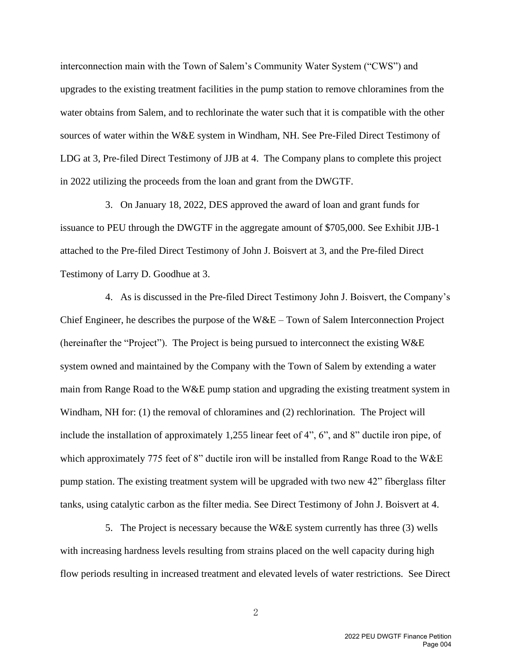interconnection main with the Town of Salem's Community Water System ("CWS") and upgrades to the existing treatment facilities in the pump station to remove chloramines from the water obtains from Salem, and to rechlorinate the water such that it is compatible with the other sources of water within the W&E system in Windham, NH. See Pre-Filed Direct Testimony of LDG at 3, Pre-filed Direct Testimony of JJB at 4. The Company plans to complete this project in 2022 utilizing the proceeds from the loan and grant from the DWGTF.

3. On January 18, 2022, DES approved the award of loan and grant funds for issuance to PEU through the DWGTF in the aggregate amount of \$705,000. See Exhibit JJB-1 attached to the Pre-filed Direct Testimony of John J. Boisvert at 3, and the Pre-filed Direct Testimony of Larry D. Goodhue at 3.

4. As is discussed in the Pre-filed Direct Testimony John J. Boisvert, the Company's Chief Engineer, he describes the purpose of the  $W&E$  – Town of Salem Interconnection Project (hereinafter the "Project"). The Project is being pursued to interconnect the existing W&E system owned and maintained by the Company with the Town of Salem by extending a water main from Range Road to the W&E pump station and upgrading the existing treatment system in Windham, NH for: (1) the removal of chloramines and (2) rechlorination. The Project will include the installation of approximately 1,255 linear feet of 4", 6", and 8" ductile iron pipe, of which approximately 775 feet of 8" ductile iron will be installed from Range Road to the W&E pump station. The existing treatment system will be upgraded with two new 42" fiberglass filter tanks, using catalytic carbon as the filter media. See Direct Testimony of John J. Boisvert at 4.

5. The Project is necessary because the W&E system currently has three (3) wells with increasing hardness levels resulting from strains placed on the well capacity during high flow periods resulting in increased treatment and elevated levels of water restrictions. See Direct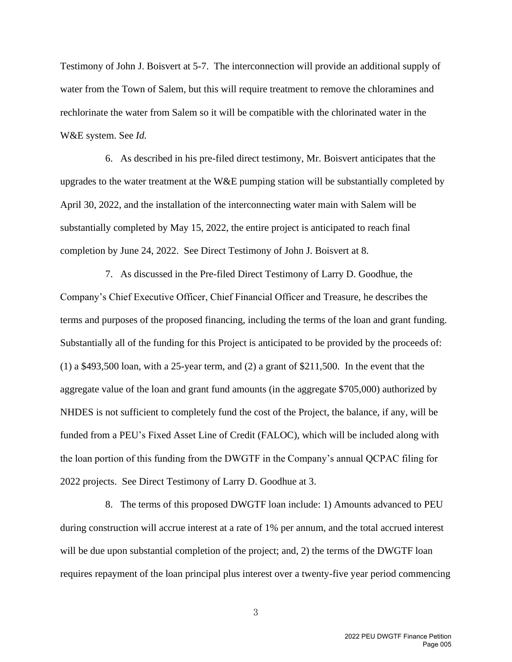Testimony of John J. Boisvert at 5-7. The interconnection will provide an additional supply of water from the Town of Salem, but this will require treatment to remove the chloramines and rechlorinate the water from Salem so it will be compatible with the chlorinated water in the W&E system. See *Id.*

6. As described in his pre-filed direct testimony, Mr. Boisvert anticipates that the upgrades to the water treatment at the W&E pumping station will be substantially completed by April 30, 2022, and the installation of the interconnecting water main with Salem will be substantially completed by May 15, 2022, the entire project is anticipated to reach final completion by June 24, 2022. See Direct Testimony of John J. Boisvert at 8.

7. As discussed in the Pre-filed Direct Testimony of Larry D. Goodhue, the Company's Chief Executive Officer, Chief Financial Officer and Treasure, he describes the terms and purposes of the proposed financing, including the terms of the loan and grant funding. Substantially all of the funding for this Project is anticipated to be provided by the proceeds of:  $(1)$  a \$493,500 loan, with a 25-year term, and  $(2)$  a grant of \$211,500. In the event that the aggregate value of the loan and grant fund amounts (in the aggregate \$705,000) authorized by NHDES is not sufficient to completely fund the cost of the Project, the balance, if any, will be funded from a PEU's Fixed Asset Line of Credit (FALOC), which will be included along with the loan portion of this funding from the DWGTF in the Company's annual QCPAC filing for 2022 projects. See Direct Testimony of Larry D. Goodhue at 3.

8. The terms of this proposed DWGTF loan include: 1) Amounts advanced to PEU during construction will accrue interest at a rate of 1% per annum, and the total accrued interest will be due upon substantial completion of the project; and, 2) the terms of the DWGTF loan requires repayment of the loan principal plus interest over a twenty-five year period commencing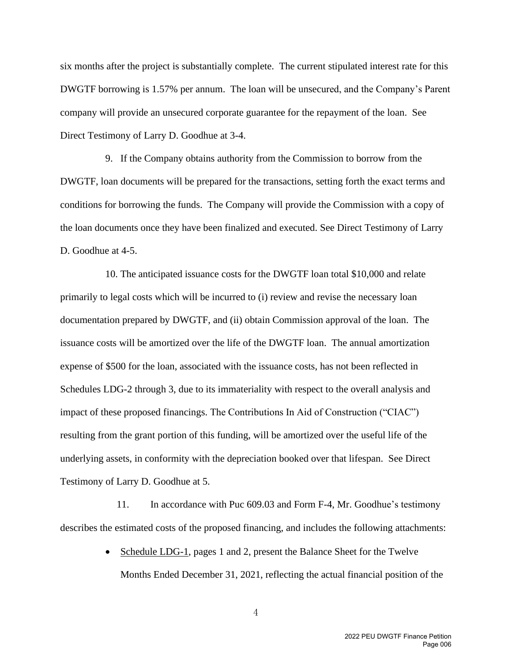six months after the project is substantially complete. The current stipulated interest rate for this DWGTF borrowing is 1.57% per annum. The loan will be unsecured, and the Company's Parent company will provide an unsecured corporate guarantee for the repayment of the loan. See Direct Testimony of Larry D. Goodhue at 3-4.

9. If the Company obtains authority from the Commission to borrow from the DWGTF, loan documents will be prepared for the transactions, setting forth the exact terms and conditions for borrowing the funds. The Company will provide the Commission with a copy of the loan documents once they have been finalized and executed. See Direct Testimony of Larry D. Goodhue at 4-5.

10. The anticipated issuance costs for the DWGTF loan total \$10,000 and relate primarily to legal costs which will be incurred to (i) review and revise the necessary loan documentation prepared by DWGTF, and (ii) obtain Commission approval of the loan. The issuance costs will be amortized over the life of the DWGTF loan. The annual amortization expense of \$500 for the loan, associated with the issuance costs, has not been reflected in Schedules LDG-2 through 3, due to its immateriality with respect to the overall analysis and impact of these proposed financings. The Contributions In Aid of Construction ("CIAC") resulting from the grant portion of this funding, will be amortized over the useful life of the underlying assets, in conformity with the depreciation booked over that lifespan. See Direct Testimony of Larry D. Goodhue at 5.

11. In accordance with Puc 609.03 and Form F-4, Mr. Goodhue's testimony describes the estimated costs of the proposed financing, and includes the following attachments:

> • Schedule LDG-1, pages 1 and 2, present the Balance Sheet for the Twelve Months Ended December 31, 2021, reflecting the actual financial position of the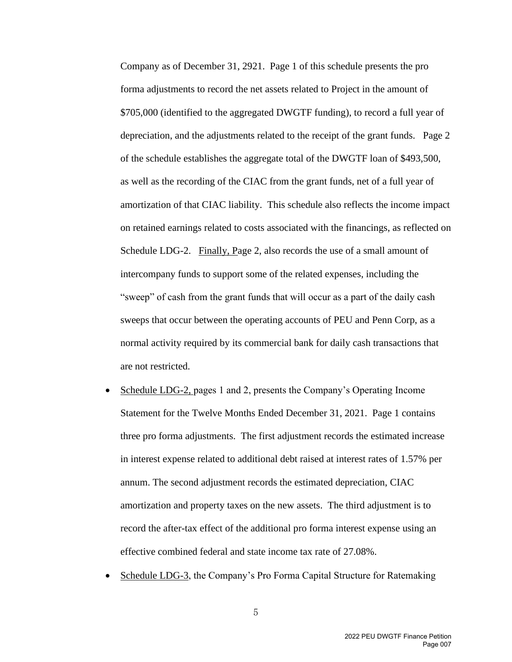Company as of December 31, 2921. Page 1 of this schedule presents the pro forma adjustments to record the net assets related to Project in the amount of \$705,000 (identified to the aggregated DWGTF funding), to record a full year of depreciation, and the adjustments related to the receipt of the grant funds. Page 2 of the schedule establishes the aggregate total of the DWGTF loan of \$493,500, as well as the recording of the CIAC from the grant funds, net of a full year of amortization of that CIAC liability. This schedule also reflects the income impact on retained earnings related to costs associated with the financings, as reflected on Schedule LDG-2. Finally, Page 2, also records the use of a small amount of intercompany funds to support some of the related expenses, including the "sweep" of cash from the grant funds that will occur as a part of the daily cash sweeps that occur between the operating accounts of PEU and Penn Corp, as a normal activity required by its commercial bank for daily cash transactions that are not restricted.

- Schedule LDG-2, pages 1 and 2, presents the Company's Operating Income Statement for the Twelve Months Ended December 31, 2021. Page 1 contains three pro forma adjustments. The first adjustment records the estimated increase in interest expense related to additional debt raised at interest rates of 1.57% per annum. The second adjustment records the estimated depreciation, CIAC amortization and property taxes on the new assets. The third adjustment is to record the after-tax effect of the additional pro forma interest expense using an effective combined federal and state income tax rate of 27.08%.
- Schedule LDG-3, the Company's Pro Forma Capital Structure for Ratemaking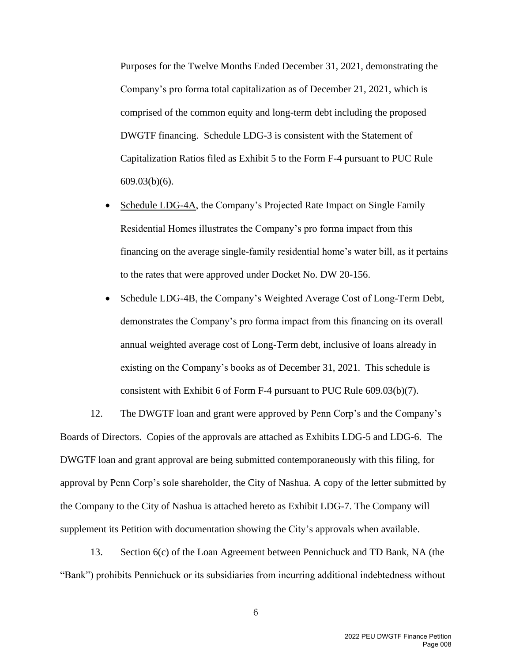Purposes for the Twelve Months Ended December 31, 2021, demonstrating the Company's pro forma total capitalization as of December 21, 2021, which is comprised of the common equity and long-term debt including the proposed DWGTF financing. Schedule LDG-3 is consistent with the Statement of Capitalization Ratios filed as Exhibit 5 to the Form F-4 pursuant to PUC Rule 609.03(b)(6).

- Schedule LDG-4A, the Company's Projected Rate Impact on Single Family Residential Homes illustrates the Company's pro forma impact from this financing on the average single-family residential home's water bill, as it pertains to the rates that were approved under Docket No. DW 20-156.
- Schedule LDG-4B, the Company's Weighted Average Cost of Long-Term Debt, demonstrates the Company's pro forma impact from this financing on its overall annual weighted average cost of Long-Term debt, inclusive of loans already in existing on the Company's books as of December 31, 2021. This schedule is consistent with Exhibit 6 of Form F-4 pursuant to PUC Rule 609.03(b)(7).

12. The DWGTF loan and grant were approved by Penn Corp's and the Company's Boards of Directors. Copies of the approvals are attached as Exhibits LDG-5 and LDG-6. The DWGTF loan and grant approval are being submitted contemporaneously with this filing, for approval by Penn Corp's sole shareholder, the City of Nashua. A copy of the letter submitted by the Company to the City of Nashua is attached hereto as Exhibit LDG-7. The Company will supplement its Petition with documentation showing the City's approvals when available.

13. Section 6(c) of the Loan Agreement between Pennichuck and TD Bank, NA (the "Bank") prohibits Pennichuck or its subsidiaries from incurring additional indebtedness without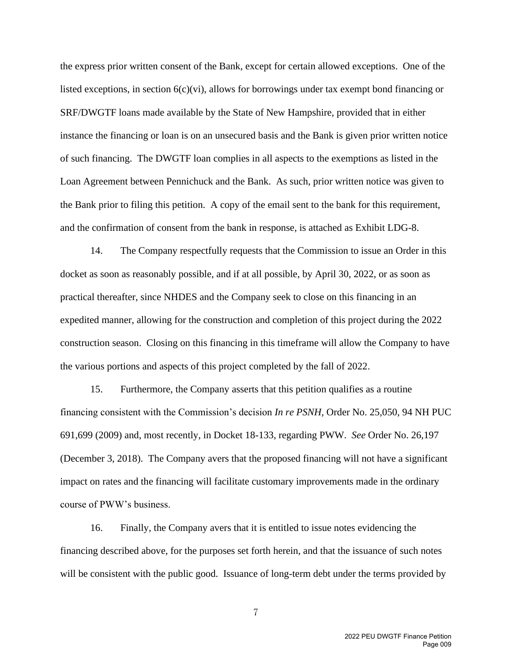the express prior written consent of the Bank, except for certain allowed exceptions. One of the listed exceptions, in section  $6(c)(vi)$ , allows for borrowings under tax exempt bond financing or SRF/DWGTF loans made available by the State of New Hampshire, provided that in either instance the financing or loan is on an unsecured basis and the Bank is given prior written notice of such financing. The DWGTF loan complies in all aspects to the exemptions as listed in the Loan Agreement between Pennichuck and the Bank. As such, prior written notice was given to the Bank prior to filing this petition. A copy of the email sent to the bank for this requirement, and the confirmation of consent from the bank in response, is attached as Exhibit LDG-8.

14. The Company respectfully requests that the Commission to issue an Order in this docket as soon as reasonably possible, and if at all possible, by April 30, 2022, or as soon as practical thereafter, since NHDES and the Company seek to close on this financing in an expedited manner, allowing for the construction and completion of this project during the 2022 construction season. Closing on this financing in this timeframe will allow the Company to have the various portions and aspects of this project completed by the fall of 2022.

15. Furthermore, the Company asserts that this petition qualifies as a routine financing consistent with the Commission's decision *In re PSNH,* Order No. 25,050, 94 NH PUC 691,699 (2009) and, most recently, in Docket 18-133, regarding PWW. *See* Order No. 26,197 (December 3, 2018). The Company avers that the proposed financing will not have a significant impact on rates and the financing will facilitate customary improvements made in the ordinary course of PWW's business.

16. Finally, the Company avers that it is entitled to issue notes evidencing the financing described above, for the purposes set forth herein, and that the issuance of such notes will be consistent with the public good. Issuance of long-term debt under the terms provided by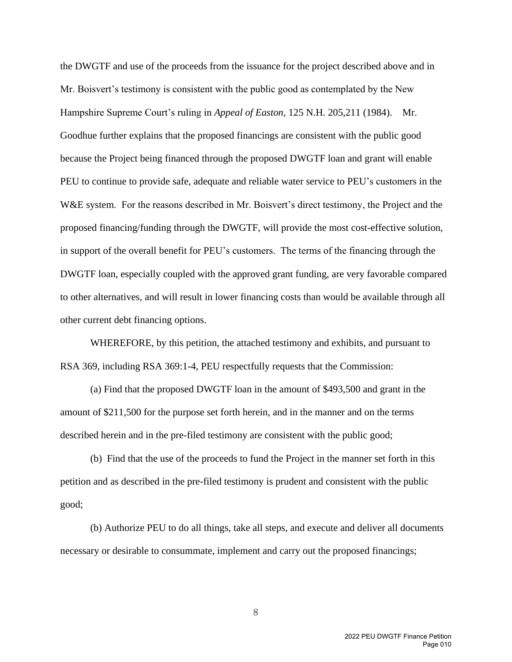the DWGTF and use of the proceeds from the issuance for the project described above and in Mr. Boisvert's testimony is consistent with the public good as contemplated by the New Hampshire Supreme Court's ruling in *Appeal of Easton,* 125 N.H. 205,211 (1984). Mr. Goodhue further explains that the proposed financings are consistent with the public good because the Project being financed through the proposed DWGTF loan and grant will enable PEU to continue to provide safe, adequate and reliable water service to PEU's customers in the W&E system. For the reasons described in Mr. Boisvert's direct testimony, the Project and the proposed financing/funding through the DWGTF, will provide the most cost-effective solution, in support of the overall benefit for PEU's customers. The terms of the financing through the DWGTF loan, especially coupled with the approved grant funding, are very favorable compared to other alternatives, and will result in lower financing costs than would be available through all other current debt financing options.

WHEREFORE, by this petition, the attached testimony and exhibits, and pursuant to RSA 369, including RSA 369:1-4, PEU respectfully requests that the Commission:

(a) Find that the proposed DWGTF loan in the amount of \$493,500 and grant in the amount of \$211,500 for the purpose set forth herein, and in the manner and on the terms described herein and in the pre-filed testimony are consistent with the public good;

(b) Find that the use of the proceeds to fund the Project in the manner set forth in this petition and as described in the pre-filed testimony is prudent and consistent with the public good;

(b) Authorize PEU to do all things, take all steps, and execute and deliver all documents necessary or desirable to consummate, implement and carry out the proposed financings;